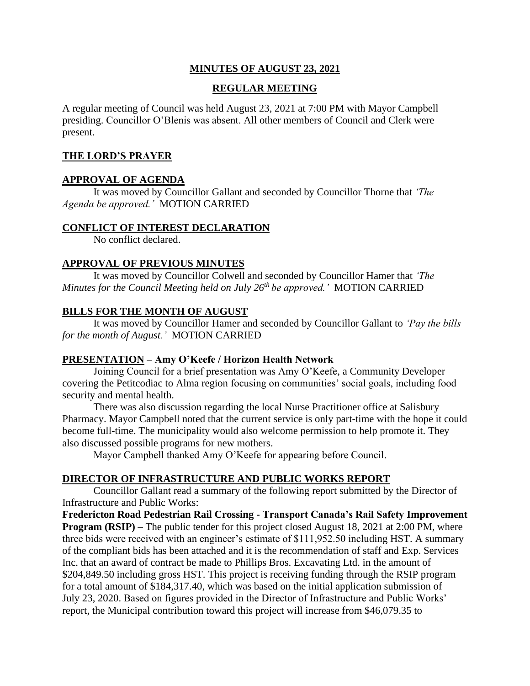# **MINUTES OF AUGUST 23, 2021**

# **REGULAR MEETING**

A regular meeting of Council was held August 23, 2021 at 7:00 PM with Mayor Campbell presiding. Councillor O'Blenis was absent. All other members of Council and Clerk were present.

## **THE LORD'S PRAYER**

## **APPROVAL OF AGENDA**

It was moved by Councillor Gallant and seconded by Councillor Thorne that *'The Agenda be approved.'* MOTION CARRIED

### **CONFLICT OF INTEREST DECLARATION**

No conflict declared.

## **APPROVAL OF PREVIOUS MINUTES**

It was moved by Councillor Colwell and seconded by Councillor Hamer that *'The Minutes for the Council Meeting held on July 26 th be approved.'* MOTION CARRIED

# **BILLS FOR THE MONTH OF AUGUST**

It was moved by Councillor Hamer and seconded by Councillor Gallant to *'Pay the bills for the month of August.'* MOTION CARRIED

# **PRESENTATION – Amy O'Keefe / Horizon Health Network**

Joining Council for a brief presentation was Amy O'Keefe, a Community Developer covering the Petitcodiac to Alma region focusing on communities' social goals, including food security and mental health.

There was also discussion regarding the local Nurse Practitioner office at Salisbury Pharmacy. Mayor Campbell noted that the current service is only part-time with the hope it could become full-time. The municipality would also welcome permission to help promote it. They also discussed possible programs for new mothers.

Mayor Campbell thanked Amy O'Keefe for appearing before Council.

# **DIRECTOR OF INFRASTRUCTURE AND PUBLIC WORKS REPORT**

Councillor Gallant read a summary of the following report submitted by the Director of Infrastructure and Public Works:

**Fredericton Road Pedestrian Rail Crossing - Transport Canada's Rail Safety Improvement Program (RSIP)** – The public tender for this project closed August 18, 2021 at 2:00 PM, where three bids were received with an engineer's estimate of \$111,952.50 including HST. A summary of the compliant bids has been attached and it is the recommendation of staff and Exp. Services Inc. that an award of contract be made to Phillips Bros. Excavating Ltd. in the amount of \$204,849.50 including gross HST. This project is receiving funding through the RSIP program for a total amount of \$184,317.40, which was based on the initial application submission of July 23, 2020. Based on figures provided in the Director of Infrastructure and Public Works' report, the Municipal contribution toward this project will increase from \$46,079.35 to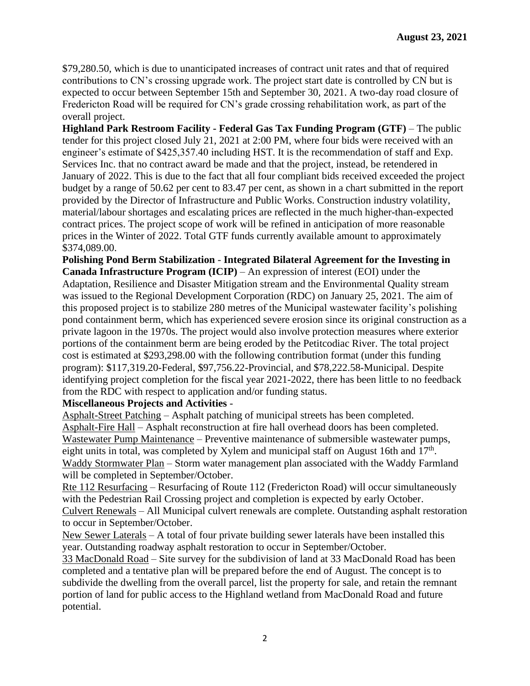\$79,280.50, which is due to unanticipated increases of contract unit rates and that of required contributions to CN's crossing upgrade work. The project start date is controlled by CN but is expected to occur between September 15th and September 30, 2021. A two-day road closure of Fredericton Road will be required for CN's grade crossing rehabilitation work, as part of the overall project.

**Highland Park Restroom Facility - Federal Gas Tax Funding Program (GTF)** – The public tender for this project closed July 21, 2021 at 2:00 PM, where four bids were received with an engineer's estimate of \$425,357.40 including HST. It is the recommendation of staff and Exp. Services Inc. that no contract award be made and that the project, instead, be retendered in January of 2022. This is due to the fact that all four compliant bids received exceeded the project budget by a range of 50.62 per cent to 83.47 per cent, as shown in a chart submitted in the report provided by the Director of Infrastructure and Public Works. Construction industry volatility, material/labour shortages and escalating prices are reflected in the much higher-than-expected contract prices. The project scope of work will be refined in anticipation of more reasonable prices in the Winter of 2022. Total GTF funds currently available amount to approximately \$374,089.00.

**Polishing Pond Berm Stabilization** - **Integrated Bilateral Agreement for the Investing in Canada Infrastructure Program (ICIP)** – An expression of interest (EOI) under the Adaptation, Resilience and Disaster Mitigation stream and the Environmental Quality stream was issued to the Regional Development Corporation (RDC) on January 25, 2021. The aim of this proposed project is to stabilize 280 metres of the Municipal wastewater facility's polishing pond containment berm, which has experienced severe erosion since its original construction as a private lagoon in the 1970s. The project would also involve protection measures where exterior portions of the containment berm are being eroded by the Petitcodiac River. The total project cost is estimated at \$293,298.00 with the following contribution format (under this funding program): \$117,319.20-Federal, \$97,756.22-Provincial, and \$78,222.58-Municipal. Despite identifying project completion for the fiscal year 2021-2022, there has been little to no feedback

# from the RDC with respect to application and/or funding status.

### **Miscellaneous Projects and Activities** -

Asphalt-Street Patching – Asphalt patching of municipal streets has been completed. Asphalt-Fire Hall – Asphalt reconstruction at fire hall overhead doors has been completed. Wastewater Pump Maintenance – Preventive maintenance of submersible wastewater pumps, eight units in total, was completed by Xylem and municipal staff on August 16th and  $17<sup>th</sup>$ . Waddy Stormwater Plan – Storm water management plan associated with the Waddy Farmland will be completed in September/October.

Rte 112 Resurfacing – Resurfacing of Route 112 (Fredericton Road) will occur simultaneously with the Pedestrian Rail Crossing project and completion is expected by early October. Culvert Renewals – All Municipal culvert renewals are complete. Outstanding asphalt restoration to occur in September/October.

New Sewer Laterals – A total of four private building sewer laterals have been installed this year. Outstanding roadway asphalt restoration to occur in September/October.

33 MacDonald Road – Site survey for the subdivision of land at 33 MacDonald Road has been completed and a tentative plan will be prepared before the end of August. The concept is to subdivide the dwelling from the overall parcel, list the property for sale, and retain the remnant portion of land for public access to the Highland wetland from MacDonald Road and future potential.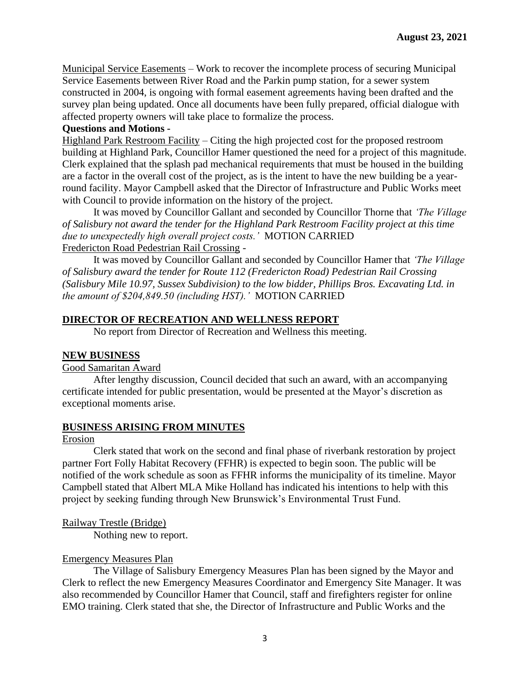Municipal Service Easements – Work to recover the incomplete process of securing Municipal Service Easements between River Road and the Parkin pump station, for a sewer system constructed in 2004, is ongoing with formal easement agreements having been drafted and the survey plan being updated. Once all documents have been fully prepared, official dialogue with affected property owners will take place to formalize the process.

## **Questions and Motions -**

Highland Park Restroom Facility – Citing the high projected cost for the proposed restroom building at Highland Park, Councillor Hamer questioned the need for a project of this magnitude. Clerk explained that the splash pad mechanical requirements that must be housed in the building are a factor in the overall cost of the project, as is the intent to have the new building be a yearround facility. Mayor Campbell asked that the Director of Infrastructure and Public Works meet with Council to provide information on the history of the project.

It was moved by Councillor Gallant and seconded by Councillor Thorne that *'The Village of Salisbury not award the tender for the Highland Park Restroom Facility project at this time due to unexpectedly high overall project costs.'* MOTION CARRIED Fredericton Road Pedestrian Rail Crossing -

It was moved by Councillor Gallant and seconded by Councillor Hamer that *'The Village of Salisbury award the tender for Route 112 (Fredericton Road) Pedestrian Rail Crossing (Salisbury Mile 10.97, Sussex Subdivision) to the low bidder, Phillips Bros. Excavating Ltd. in the amount of \$204,849.50 (including HST).'* MOTION CARRIED

## **DIRECTOR OF RECREATION AND WELLNESS REPORT**

No report from Director of Recreation and Wellness this meeting.

### **NEW BUSINESS**

Good Samaritan Award

After lengthy discussion, Council decided that such an award, with an accompanying certificate intended for public presentation, would be presented at the Mayor's discretion as exceptional moments arise.

### **BUSINESS ARISING FROM MINUTES**

Erosion

Clerk stated that work on the second and final phase of riverbank restoration by project partner Fort Folly Habitat Recovery (FFHR) is expected to begin soon. The public will be notified of the work schedule as soon as FFHR informs the municipality of its timeline. Mayor Campbell stated that Albert MLA Mike Holland has indicated his intentions to help with this project by seeking funding through New Brunswick's Environmental Trust Fund.

Railway Trestle (Bridge)

Nothing new to report.

### Emergency Measures Plan

The Village of Salisbury Emergency Measures Plan has been signed by the Mayor and Clerk to reflect the new Emergency Measures Coordinator and Emergency Site Manager. It was also recommended by Councillor Hamer that Council, staff and firefighters register for online EMO training. Clerk stated that she, the Director of Infrastructure and Public Works and the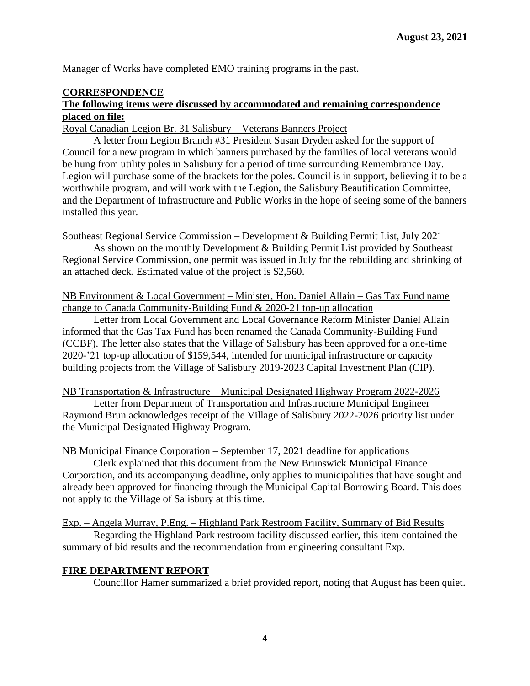Manager of Works have completed EMO training programs in the past.

# **CORRESPONDENCE**

## **The following items were discussed by accommodated and remaining correspondence placed on file:**

Royal Canadian Legion Br. 31 Salisbury – Veterans Banners Project

A letter from Legion Branch #31 President Susan Dryden asked for the support of Council for a new program in which banners purchased by the families of local veterans would be hung from utility poles in Salisbury for a period of time surrounding Remembrance Day. Legion will purchase some of the brackets for the poles. Council is in support, believing it to be a worthwhile program, and will work with the Legion, the Salisbury Beautification Committee, and the Department of Infrastructure and Public Works in the hope of seeing some of the banners installed this year.

Southeast Regional Service Commission – Development & Building Permit List, July 2021

As shown on the monthly Development & Building Permit List provided by Southeast Regional Service Commission, one permit was issued in July for the rebuilding and shrinking of an attached deck. Estimated value of the project is \$2,560.

NB Environment & Local Government – Minister, Hon. Daniel Allain – Gas Tax Fund name change to Canada Community-Building Fund & 2020-21 top-up allocation

Letter from Local Government and Local Governance Reform Minister Daniel Allain informed that the Gas Tax Fund has been renamed the Canada Community-Building Fund (CCBF). The letter also states that the Village of Salisbury has been approved for a one-time 2020-'21 top-up allocation of \$159,544, intended for municipal infrastructure or capacity building projects from the Village of Salisbury 2019-2023 Capital Investment Plan (CIP).

### NB Transportation & Infrastructure – Municipal Designated Highway Program 2022-2026

Letter from Department of Transportation and Infrastructure Municipal Engineer Raymond Brun acknowledges receipt of the Village of Salisbury 2022-2026 priority list under the Municipal Designated Highway Program.

NB Municipal Finance Corporation – September 17, 2021 deadline for applications

Clerk explained that this document from the New Brunswick Municipal Finance Corporation, and its accompanying deadline, only applies to municipalities that have sought and already been approved for financing through the Municipal Capital Borrowing Board. This does not apply to the Village of Salisbury at this time.

Exp. – Angela Murray, P.Eng. – Highland Park Restroom Facility, Summary of Bid Results

Regarding the Highland Park restroom facility discussed earlier, this item contained the summary of bid results and the recommendation from engineering consultant Exp.

### **FIRE DEPARTMENT REPORT**

Councillor Hamer summarized a brief provided report, noting that August has been quiet.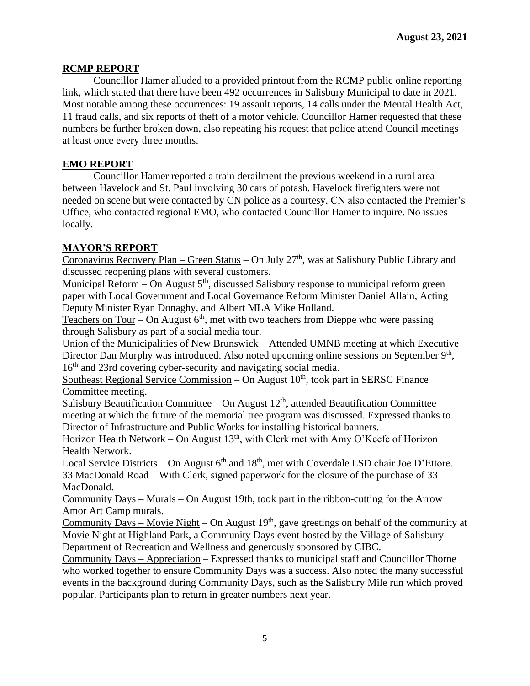## **RCMP REPORT**

Councillor Hamer alluded to a provided printout from the RCMP public online reporting link, which stated that there have been 492 occurrences in Salisbury Municipal to date in 2021. Most notable among these occurrences: 19 assault reports, 14 calls under the Mental Health Act, 11 fraud calls, and six reports of theft of a motor vehicle. Councillor Hamer requested that these numbers be further broken down, also repeating his request that police attend Council meetings at least once every three months.

## **EMO REPORT**

Councillor Hamer reported a train derailment the previous weekend in a rural area between Havelock and St. Paul involving 30 cars of potash. Havelock firefighters were not needed on scene but were contacted by CN police as a courtesy. CN also contacted the Premier's Office, who contacted regional EMO, who contacted Councillor Hamer to inquire. No issues locally.

### **MAYOR'S REPORT**

Coronavirus Recovery Plan – Green Status – On July 27<sup>th</sup>, was at Salisbury Public Library and discussed reopening plans with several customers.

Municipal Reform – On August  $5<sup>th</sup>$ , discussed Salisbury response to municipal reform green paper with Local Government and Local Governance Reform Minister Daniel Allain, Acting Deputy Minister Ryan Donaghy, and Albert MLA Mike Holland.

Teachers on Tour – On August  $6<sup>th</sup>$ , met with two teachers from Dieppe who were passing through Salisbury as part of a social media tour.

Union of the Municipalities of New Brunswick – Attended UMNB meeting at which Executive Director Dan Murphy was introduced. Also noted upcoming online sessions on September 9<sup>th</sup>, 16<sup>th</sup> and 23rd covering cyber-security and navigating social media.

Southeast Regional Service Commission – On August 10<sup>th</sup>, took part in SERSC Finance Committee meeting.

Salisbury Beautification Committee – On August  $12<sup>th</sup>$ , attended Beautification Committee meeting at which the future of the memorial tree program was discussed. Expressed thanks to Director of Infrastructure and Public Works for installing historical banners.

Horizon Health Network – On August  $13<sup>th</sup>$ , with Clerk met with Amy O'Keefe of Horizon Health Network.

Local Service Districts – On August  $6<sup>th</sup>$  and  $18<sup>th</sup>$ , met with Coverdale LSD chair Joe D'Ettore. 33 MacDonald Road – With Clerk, signed paperwork for the closure of the purchase of 33 MacDonald.

Community Days – Murals – On August 19th, took part in the ribbon-cutting for the Arrow Amor Art Camp murals.

Community Days – Movie Night – On August  $19<sup>th</sup>$ , gave greetings on behalf of the community at Movie Night at Highland Park, a Community Days event hosted by the Village of Salisbury Department of Recreation and Wellness and generously sponsored by CIBC.

Community Days – Appreciation – Expressed thanks to municipal staff and Councillor Thorne who worked together to ensure Community Days was a success. Also noted the many successful events in the background during Community Days, such as the Salisbury Mile run which proved popular. Participants plan to return in greater numbers next year.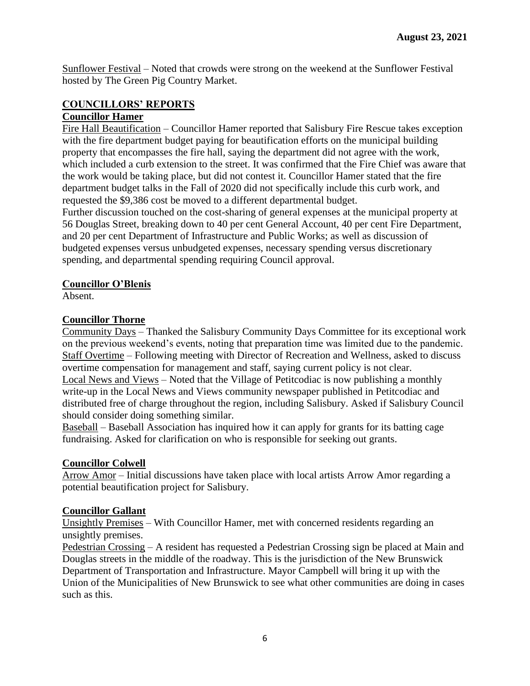Sunflower Festival – Noted that crowds were strong on the weekend at the Sunflower Festival hosted by The Green Pig Country Market.

#### **COUNCILLORS' REPORTS Councillor Hamer**

Fire Hall Beautification – Councillor Hamer reported that Salisbury Fire Rescue takes exception with the fire department budget paying for beautification efforts on the municipal building property that encompasses the fire hall, saying the department did not agree with the work, which included a curb extension to the street. It was confirmed that the Fire Chief was aware that the work would be taking place, but did not contest it. Councillor Hamer stated that the fire department budget talks in the Fall of 2020 did not specifically include this curb work, and requested the \$9,386 cost be moved to a different departmental budget.

Further discussion touched on the cost-sharing of general expenses at the municipal property at 56 Douglas Street, breaking down to 40 per cent General Account, 40 per cent Fire Department, and 20 per cent Department of Infrastructure and Public Works; as well as discussion of budgeted expenses versus unbudgeted expenses, necessary spending versus discretionary spending, and departmental spending requiring Council approval.

# **Councillor O'Blenis**

Absent.

# **Councillor Thorne**

Community Days – Thanked the Salisbury Community Days Committee for its exceptional work on the previous weekend's events, noting that preparation time was limited due to the pandemic. Staff Overtime – Following meeting with Director of Recreation and Wellness, asked to discuss overtime compensation for management and staff, saying current policy is not clear. Local News and Views – Noted that the Village of Petitcodiac is now publishing a monthly write-up in the Local News and Views community newspaper published in Petitcodiac and distributed free of charge throughout the region, including Salisbury. Asked if Salisbury Council

should consider doing something similar.

Baseball – Baseball Association has inquired how it can apply for grants for its batting cage fundraising. Asked for clarification on who is responsible for seeking out grants.

# **Councillor Colwell**

Arrow Amor - Initial discussions have taken place with local artists Arrow Amor regarding a potential beautification project for Salisbury.

# **Councillor Gallant**

Unsightly Premises – With Councillor Hamer, met with concerned residents regarding an unsightly premises.

Pedestrian Crossing – A resident has requested a Pedestrian Crossing sign be placed at Main and Douglas streets in the middle of the roadway. This is the jurisdiction of the New Brunswick Department of Transportation and Infrastructure. Mayor Campbell will bring it up with the Union of the Municipalities of New Brunswick to see what other communities are doing in cases such as this.